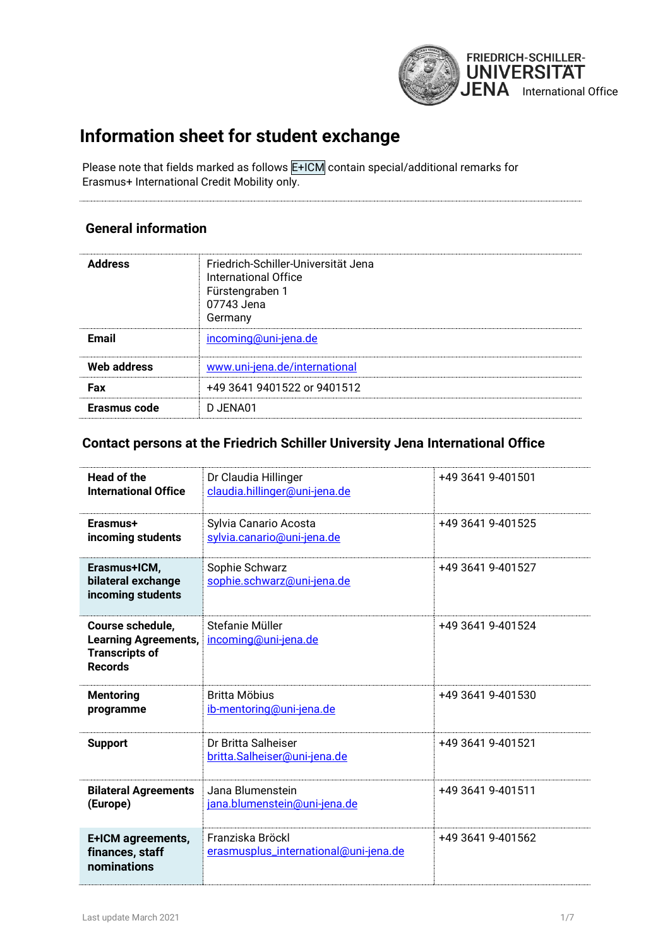

# **Information sheet for student exchange**

Please note that fields marked as follows E+ICM contain special/additional remarks for Erasmus+ International Credit Mobility only.

#### **General information**

| <b>Address</b> | Friedrich-Schiller-Universität Jena<br><b>International Office</b><br>Fürstengraben 1<br>07743 Jena<br>Germany |
|----------------|----------------------------------------------------------------------------------------------------------------|
| <b>Email</b>   | incoming@uni-jena.de                                                                                           |
| Web address    | www.uni-jena.de/international                                                                                  |
| Fax            | +49 3641 9401522 or 9401512                                                                                    |
| Erasmus code   | D JENA01                                                                                                       |

#### **Contact persons at the Friedrich Schiller University Jena International Office**

| Head of the<br><b>International Office</b>                                                 | Dr Claudia Hillinger<br>claudia.hillinger@uni-jena.de     | +49 3641 9-401501 |
|--------------------------------------------------------------------------------------------|-----------------------------------------------------------|-------------------|
| Erasmus+<br>incoming students                                                              | Sylvia Canario Acosta<br>sylvia.canario@uni-jena.de       | +49 3641 9-401525 |
| Erasmus+ICM,<br>bilateral exchange<br>incoming students                                    | Sophie Schwarz<br>sophie.schwarz@uni-jena.de              | +49 3641 9-401527 |
| Course schedule,<br><b>Learning Agreements,</b><br><b>Transcripts of</b><br><b>Records</b> | Stefanie Müller<br>incoming@uni-jena.de                   | +49 3641 9-401524 |
| <b>Mentoring</b><br>programme                                                              | <b>Britta Möbius</b><br>ib-mentoring@uni-jena.de          | +49 3641 9-401530 |
| <b>Support</b>                                                                             | Dr Britta Salheiser<br>britta.Salheiser@uni-jena.de       | +49 3641 9-401521 |
| <b>Bilateral Agreements</b><br>(Europe)                                                    | Jana Blumenstein<br>jana.blumenstein@uni-jena.de          | +49 3641 9-401511 |
| E+ICM agreements,<br>finances, staff<br>nominations                                        | Franziska Bröckl<br>erasmusplus_international@uni-jena.de | +49 3641 9-401562 |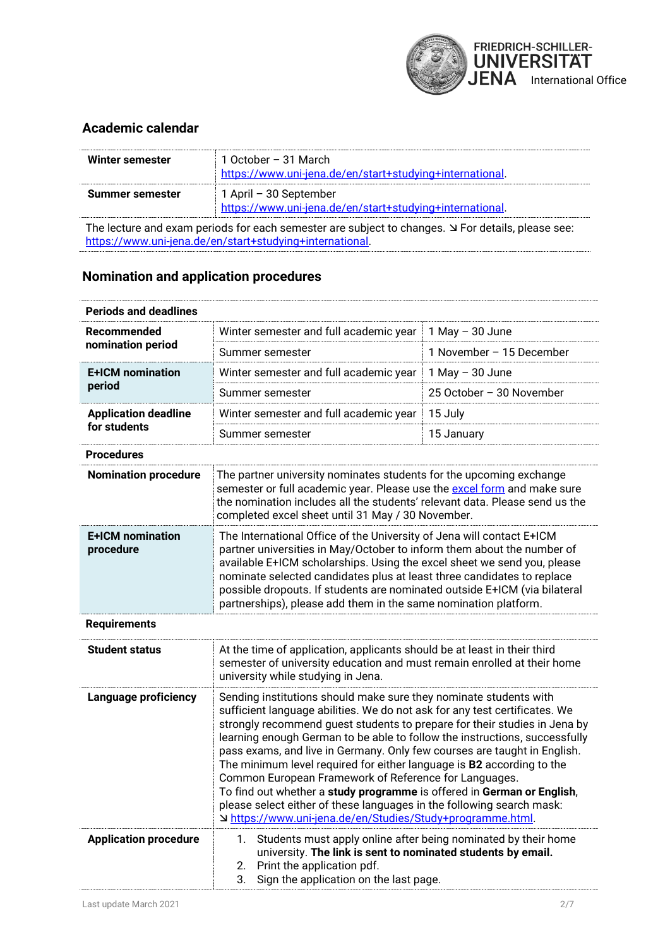

#### **Academic calendar**

| Winter semester | 1 October – 31 March<br>https://www.uni-jena.de/en/start+studying+international.   |
|-----------------|------------------------------------------------------------------------------------|
| Summer semester | 1 April - 30 September<br>https://www.uni-jena.de/en/start+studying+international. |

The lecture and exam periods for each semester are subject to changes.  $\Delta$  For details, please see: [https://www.uni-jena.de/en/start+studying+international.](https://www.uni-jena.de/en/start+studying+international)

#### **Nomination and application procedures**

| <b>Periods and deadlines</b>                |                                                                                                                                                                                                                                                                                                                                                                                                                                                                                                                                                                                                                                                                                                                                           |                          |
|---------------------------------------------|-------------------------------------------------------------------------------------------------------------------------------------------------------------------------------------------------------------------------------------------------------------------------------------------------------------------------------------------------------------------------------------------------------------------------------------------------------------------------------------------------------------------------------------------------------------------------------------------------------------------------------------------------------------------------------------------------------------------------------------------|--------------------------|
| <b>Recommended</b>                          | Winter semester and full academic year                                                                                                                                                                                                                                                                                                                                                                                                                                                                                                                                                                                                                                                                                                    | $1$ May $-$ 30 June      |
| nomination period                           |                                                                                                                                                                                                                                                                                                                                                                                                                                                                                                                                                                                                                                                                                                                                           |                          |
|                                             | Summer semester                                                                                                                                                                                                                                                                                                                                                                                                                                                                                                                                                                                                                                                                                                                           | 1 November - 15 December |
| <b>E+ICM</b> nomination<br>period           | Winter semester and full academic year                                                                                                                                                                                                                                                                                                                                                                                                                                                                                                                                                                                                                                                                                                    | $1$ May $-$ 30 June      |
|                                             | Summer semester                                                                                                                                                                                                                                                                                                                                                                                                                                                                                                                                                                                                                                                                                                                           | 25 October - 30 November |
| <b>Application deadline</b><br>for students | Winter semester and full academic year                                                                                                                                                                                                                                                                                                                                                                                                                                                                                                                                                                                                                                                                                                    | 15 July                  |
|                                             | Summer semester                                                                                                                                                                                                                                                                                                                                                                                                                                                                                                                                                                                                                                                                                                                           | 15 January               |
| <b>Procedures</b>                           |                                                                                                                                                                                                                                                                                                                                                                                                                                                                                                                                                                                                                                                                                                                                           |                          |
| <b>Nomination procedure</b>                 | The partner university nominates students for the upcoming exchange<br>semester or full academic year. Please use the excel form and make sure<br>the nomination includes all the students' relevant data. Please send us the<br>completed excel sheet until 31 May / 30 November.                                                                                                                                                                                                                                                                                                                                                                                                                                                        |                          |
| <b>E+ICM</b> nomination<br>procedure        | The International Office of the University of Jena will contact E+ICM<br>partner universities in May/October to inform them about the number of<br>available E+ICM scholarships. Using the excel sheet we send you, please<br>nominate selected candidates plus at least three candidates to replace<br>possible dropouts. If students are nominated outside E+ICM (via bilateral<br>partnerships), please add them in the same nomination platform.                                                                                                                                                                                                                                                                                      |                          |
| <b>Requirements</b>                         |                                                                                                                                                                                                                                                                                                                                                                                                                                                                                                                                                                                                                                                                                                                                           |                          |
| <b>Student status</b>                       | At the time of application, applicants should be at least in their third<br>semester of university education and must remain enrolled at their home<br>university while studying in Jena.                                                                                                                                                                                                                                                                                                                                                                                                                                                                                                                                                 |                          |
| Language proficiency                        | Sending institutions should make sure they nominate students with<br>sufficient language abilities. We do not ask for any test certificates. We<br>strongly recommend guest students to prepare for their studies in Jena by<br>learning enough German to be able to follow the instructions, successfully<br>pass exams, and live in Germany. Only few courses are taught in English.<br>The minimum level required for either language is B2 according to the<br>Common European Framework of Reference for Languages.<br>To find out whether a study programme is offered in German or English,<br>please select either of these languages in the following search mask:<br>J https://www.uni-jena.de/en/Studies/Study+programme.html. |                          |
| <b>Application procedure</b>                | Students must apply online after being nominated by their home<br>1.<br>university. The link is sent to nominated students by email.<br>Print the application pdf.<br>2.<br>Sign the application on the last page.<br>3.                                                                                                                                                                                                                                                                                                                                                                                                                                                                                                                  |                          |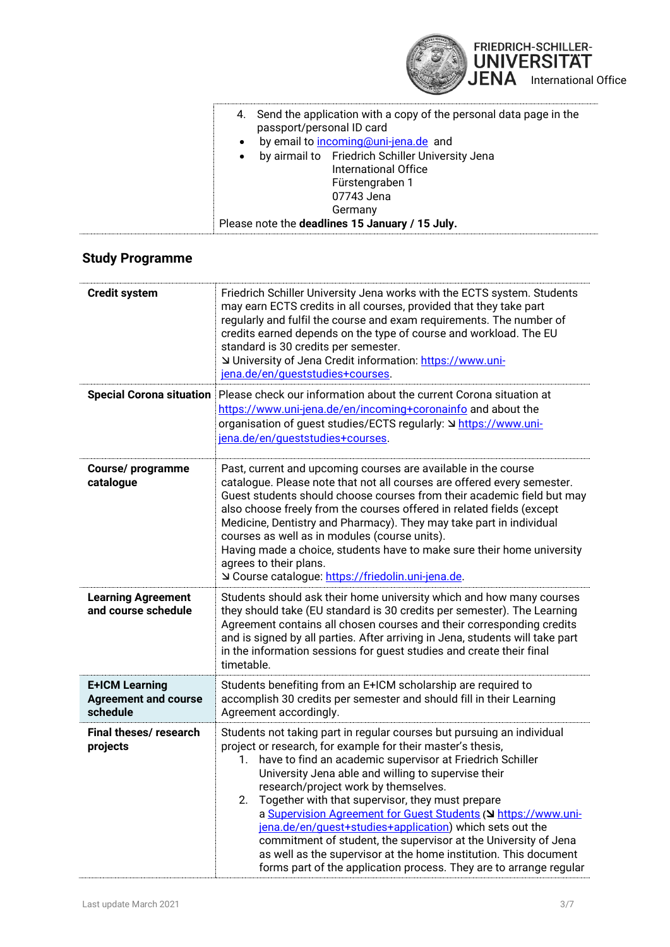

|           | 4. Send the application with a copy of the personal data page in the<br>passport/personal ID card |
|-----------|---------------------------------------------------------------------------------------------------|
| $\bullet$ | by email to incoming@uni-jena.de and                                                              |
| $\bullet$ | by airmail to Friedrich Schiller University Jena                                                  |
|           | International Office                                                                              |
|           | Fürstengraben 1                                                                                   |
|           | 07743 Jena                                                                                        |
|           | Germany                                                                                           |
|           | Please note the deadlines 15 January / 15 July.                                                   |

### **Study Programme**

| <b>Credit system</b>                                             | Friedrich Schiller University Jena works with the ECTS system. Students<br>may earn ECTS credits in all courses, provided that they take part<br>regularly and fulfil the course and exam requirements. The number of<br>credits earned depends on the type of course and workload. The EU<br>standard is 30 credits per semester.<br>∪ University of Jena Credit information: https://www.uni-<br>jena.de/en/queststudies+courses.                                                                                                                                                                                                                                                                          |  |
|------------------------------------------------------------------|--------------------------------------------------------------------------------------------------------------------------------------------------------------------------------------------------------------------------------------------------------------------------------------------------------------------------------------------------------------------------------------------------------------------------------------------------------------------------------------------------------------------------------------------------------------------------------------------------------------------------------------------------------------------------------------------------------------|--|
| <b>Special Corona situation</b>                                  | Please check our information about the current Corona situation at<br>https://www.uni-jena.de/en/incoming+coronainfo and about the<br>organisation of guest studies/ECTS regularly: V https://www.uni-<br>jena.de/en/queststudies+courses.                                                                                                                                                                                                                                                                                                                                                                                                                                                                   |  |
| <b>Course/programme</b><br>catalogue                             | Past, current and upcoming courses are available in the course<br>catalogue. Please note that not all courses are offered every semester.<br>Guest students should choose courses from their academic field but may<br>also choose freely from the courses offered in related fields (except<br>Medicine, Dentistry and Pharmacy). They may take part in individual<br>courses as well as in modules (course units).<br>Having made a choice, students have to make sure their home university<br>agrees to their plans.<br>⊻ Course catalogue: https://friedolin.uni-jena.de.                                                                                                                               |  |
| <b>Learning Agreement</b><br>and course schedule                 | Students should ask their home university which and how many courses<br>they should take (EU standard is 30 credits per semester). The Learning<br>Agreement contains all chosen courses and their corresponding credits<br>and is signed by all parties. After arriving in Jena, students will take part<br>in the information sessions for guest studies and create their final<br>timetable.                                                                                                                                                                                                                                                                                                              |  |
| <b>E+ICM Learning</b><br><b>Agreement and course</b><br>schedule | Students benefiting from an E+ICM scholarship are required to<br>accomplish 30 credits per semester and should fill in their Learning<br>Agreement accordingly.                                                                                                                                                                                                                                                                                                                                                                                                                                                                                                                                              |  |
| Final theses/research<br>projects                                | Students not taking part in regular courses but pursuing an individual<br>project or research, for example for their master's thesis,<br>have to find an academic supervisor at Friedrich Schiller<br>1.<br>University Jena able and willing to supervise their<br>research/project work by themselves.<br>Together with that supervisor, they must prepare<br>2.<br>a Supervision Agreement for Guest Students (V https://www.uni-<br>jena.de/en/guest+studies+application) which sets out the<br>commitment of student, the supervisor at the University of Jena<br>as well as the supervisor at the home institution. This document<br>forms part of the application process. They are to arrange regular |  |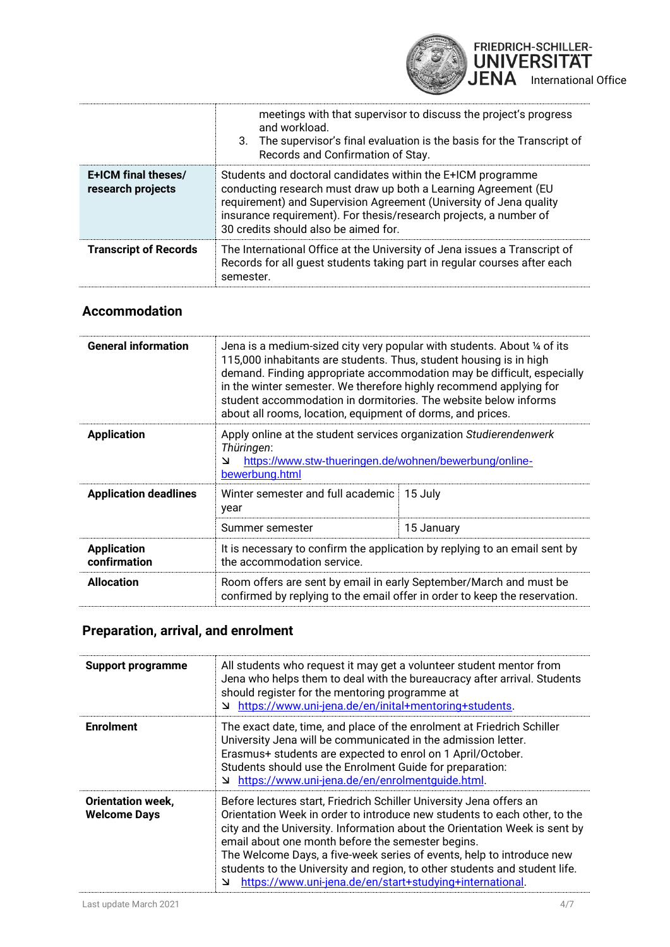

|                                          | meetings with that supervisor to discuss the project's progress<br>and workload.<br>3. The supervisor's final evaluation is the basis for the Transcript of<br>Records and Confirmation of Stay.                                                                                                                 |
|------------------------------------------|------------------------------------------------------------------------------------------------------------------------------------------------------------------------------------------------------------------------------------------------------------------------------------------------------------------|
| E+ICM final theses/<br>research projects | Students and doctoral candidates within the E+ICM programme<br>conducting research must draw up both a Learning Agreement (EU<br>requirement) and Supervision Agreement (University of Jena quality<br>insurance requirement). For thesis/research projects, a number of<br>30 credits should also be aimed for. |
| <b>Transcript of Records</b>             | The International Office at the University of Jena issues a Transcript of<br>Records for all guest students taking part in regular courses after each<br>semester.                                                                                                                                               |

### **Accommodation**

| <b>General information</b>         | Jena is a medium-sized city very popular with students. About 1/4 of its<br>115,000 inhabitants are students. Thus, student housing is in high<br>demand. Finding appropriate accommodation may be difficult, especially<br>in the winter semester. We therefore highly recommend applying for<br>student accommodation in dormitories. The website below informs<br>about all rooms, location, equipment of dorms, and prices. |            |
|------------------------------------|---------------------------------------------------------------------------------------------------------------------------------------------------------------------------------------------------------------------------------------------------------------------------------------------------------------------------------------------------------------------------------------------------------------------------------|------------|
| <b>Application</b>                 | Apply online at the student services organization Studierendenwerk<br>Thüringen:<br>https://www.stw-thueringen.de/wohnen/bewerbung/online-<br>צ<br>bewerbung.html                                                                                                                                                                                                                                                               |            |
| <b>Application deadlines</b>       | Winter semester and full academic<br>year                                                                                                                                                                                                                                                                                                                                                                                       | 15 July    |
|                                    | Summer semester                                                                                                                                                                                                                                                                                                                                                                                                                 | 15 January |
| <b>Application</b><br>confirmation | It is necessary to confirm the application by replying to an email sent by<br>the accommodation service.                                                                                                                                                                                                                                                                                                                        |            |
| <b>Allocation</b>                  | Room offers are sent by email in early September/March and must be<br>confirmed by replying to the email offer in order to keep the reservation.                                                                                                                                                                                                                                                                                |            |

## **Preparation, arrival, and enrolment**

| <b>Support programme</b>                        | All students who request it may get a volunteer student mentor from<br>Jena who helps them to deal with the bureaucracy after arrival. Students<br>should register for the mentoring programme at<br>https://www.uni-jena.de/en/inital+mentoring+students.<br>צ                                                                                                                                                                                                                                             |
|-------------------------------------------------|-------------------------------------------------------------------------------------------------------------------------------------------------------------------------------------------------------------------------------------------------------------------------------------------------------------------------------------------------------------------------------------------------------------------------------------------------------------------------------------------------------------|
| <b>Enrolment</b>                                | The exact date, time, and place of the enrolment at Friedrich Schiller<br>University Jena will be communicated in the admission letter.<br>Erasmus+ students are expected to enrol on 1 April/October.<br>Students should use the Enrolment Guide for preparation:<br><u>https://www.uni-jena.de/en/enrolmentquide.html</u>                                                                                                                                                                                 |
| <b>Orientation week,</b><br><b>Welcome Days</b> | Before lectures start, Friedrich Schiller University Jena offers an<br>Orientation Week in order to introduce new students to each other, to the<br>city and the University. Information about the Orientation Week is sent by<br>email about one month before the semester begins.<br>The Welcome Days, a five-week series of events, help to introduce new<br>students to the University and region, to other students and student life.<br>https://www.uni-jena.de/en/start+studying+international.<br>צ |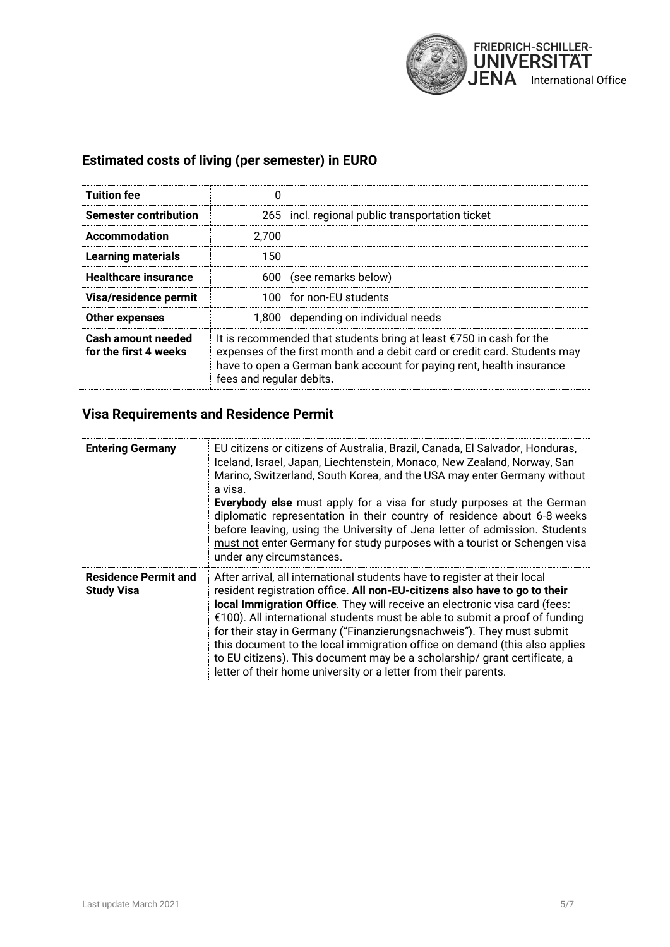

### **Estimated costs of living (per semester) in EURO**

| <b>Tuition fee</b>                          | 0                                                                                                                                                                                                                                                              |
|---------------------------------------------|----------------------------------------------------------------------------------------------------------------------------------------------------------------------------------------------------------------------------------------------------------------|
| <b>Semester contribution</b>                | 265 incl. regional public transportation ticket                                                                                                                                                                                                                |
| Accommodation                               | 2.700                                                                                                                                                                                                                                                          |
| <b>Learning materials</b>                   | 150                                                                                                                                                                                                                                                            |
| <b>Healthcare insurance</b>                 | (see remarks below)<br>600                                                                                                                                                                                                                                     |
| Visa/residence permit                       | 100 for non-EU students                                                                                                                                                                                                                                        |
| Other expenses                              | 1,800 depending on individual needs                                                                                                                                                                                                                            |
| Cash amount needed<br>for the first 4 weeks | It is recommended that students bring at least $\epsilon$ 750 in cash for the<br>expenses of the first month and a debit card or credit card. Students may<br>have to open a German bank account for paying rent, health insurance<br>fees and regular debits. |

#### **Visa Requirements and Residence Permit**

| <b>Entering Germany</b>                          | EU citizens or citizens of Australia, Brazil, Canada, El Salvador, Honduras,<br>Iceland, Israel, Japan, Liechtenstein, Monaco, New Zealand, Norway, San<br>Marino, Switzerland, South Korea, and the USA may enter Germany without<br>a visa.<br><b>Everybody else</b> must apply for a visa for study purposes at the German<br>diplomatic representation in their country of residence about 6-8 weeks<br>before leaving, using the University of Jena letter of admission. Students<br>must not enter Germany for study purposes with a tourist or Schengen visa<br>under any circumstances.                             |
|--------------------------------------------------|-----------------------------------------------------------------------------------------------------------------------------------------------------------------------------------------------------------------------------------------------------------------------------------------------------------------------------------------------------------------------------------------------------------------------------------------------------------------------------------------------------------------------------------------------------------------------------------------------------------------------------|
| <b>Residence Permit and</b><br><b>Study Visa</b> | After arrival, all international students have to register at their local<br>resident registration office. All non-EU-citizens also have to go to their<br>local Immigration Office. They will receive an electronic visa card (fees:<br>€100). All international students must be able to submit a proof of funding<br>for their stay in Germany ("Finanzierungsnachweis"). They must submit<br>this document to the local immigration office on demand (this also applies<br>to EU citizens). This document may be a scholarship/ grant certificate, a<br>letter of their home university or a letter from their parents. |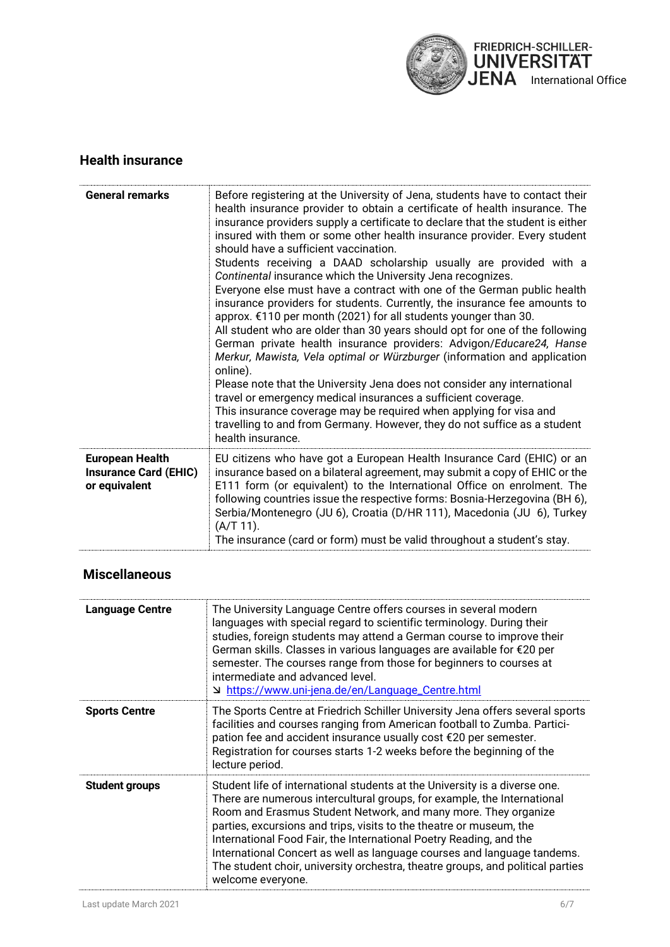

#### **Health insurance**

| <b>General remarks</b>                                                  | Before registering at the University of Jena, students have to contact their<br>health insurance provider to obtain a certificate of health insurance. The<br>insurance providers supply a certificate to declare that the student is either<br>insured with them or some other health insurance provider. Every student<br>should have a sufficient vaccination.<br>Students receiving a DAAD scholarship usually are provided with a<br>Continental insurance which the University Jena recognizes.<br>Everyone else must have a contract with one of the German public health<br>insurance providers for students. Currently, the insurance fee amounts to<br>approx. €110 per month (2021) for all students younger than 30.<br>All student who are older than 30 years should opt for one of the following<br>German private health insurance providers: Advigon/Educare24, Hanse<br>Merkur, Mawista, Vela optimal or Würzburger (information and application<br>online).<br>Please note that the University Jena does not consider any international<br>travel or emergency medical insurances a sufficient coverage.<br>This insurance coverage may be required when applying for visa and<br>travelling to and from Germany. However, they do not suffice as a student<br>health insurance. |
|-------------------------------------------------------------------------|-----------------------------------------------------------------------------------------------------------------------------------------------------------------------------------------------------------------------------------------------------------------------------------------------------------------------------------------------------------------------------------------------------------------------------------------------------------------------------------------------------------------------------------------------------------------------------------------------------------------------------------------------------------------------------------------------------------------------------------------------------------------------------------------------------------------------------------------------------------------------------------------------------------------------------------------------------------------------------------------------------------------------------------------------------------------------------------------------------------------------------------------------------------------------------------------------------------------------------------------------------------------------------------------------------|
| <b>European Health</b><br><b>Insurance Card (EHIC)</b><br>or equivalent | EU citizens who have got a European Health Insurance Card (EHIC) or an<br>insurance based on a bilateral agreement, may submit a copy of EHIC or the<br>E111 form (or equivalent) to the International Office on enrolment. The<br>following countries issue the respective forms: Bosnia-Herzegovina (BH 6),<br>Serbia/Montenegro (JU 6), Croatia (D/HR 111), Macedonia (JU 6), Turkey<br>$(A/T 11)$ .<br>The insurance (card or form) must be valid throughout a student's stay.                                                                                                                                                                                                                                                                                                                                                                                                                                                                                                                                                                                                                                                                                                                                                                                                                  |

### **Miscellaneous**

| <b>Language Centre</b> | The University Language Centre offers courses in several modern<br>languages with special regard to scientific terminology. During their<br>studies, foreign students may attend a German course to improve their<br>German skills. Classes in various languages are available for €20 per<br>semester. The courses range from those for beginners to courses at<br>intermediate and advanced level.<br>https://www.uni-jena.de/en/Language_Centre.html צ                                                                                              |
|------------------------|--------------------------------------------------------------------------------------------------------------------------------------------------------------------------------------------------------------------------------------------------------------------------------------------------------------------------------------------------------------------------------------------------------------------------------------------------------------------------------------------------------------------------------------------------------|
| <b>Sports Centre</b>   | The Sports Centre at Friedrich Schiller University Jena offers several sports<br>facilities and courses ranging from American football to Zumba. Partici-<br>pation fee and accident insurance usually cost €20 per semester.<br>Registration for courses starts 1-2 weeks before the beginning of the<br>lecture period.                                                                                                                                                                                                                              |
| <b>Student groups</b>  | Student life of international students at the University is a diverse one.<br>There are numerous intercultural groups, for example, the International<br>Room and Erasmus Student Network, and many more. They organize<br>parties, excursions and trips, visits to the theatre or museum, the<br>International Food Fair, the International Poetry Reading, and the<br>International Concert as well as language courses and language tandems.<br>The student choir, university orchestra, theatre groups, and political parties<br>welcome everyone. |